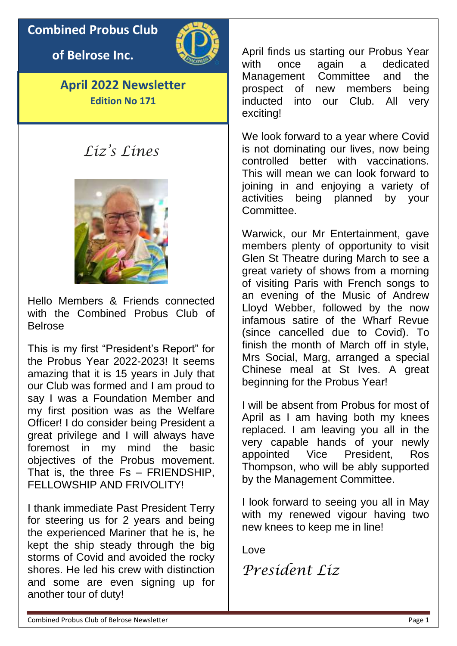# **Combined Probus Club**

**of Belrose Inc.**



**April 2022 Newsletter Edition No 171**

# *Liz's Lines*



Hello Members & Friends connected with the Combined Probus Club of Belrose

This is my first "President's Report" for the Probus Year 2022-2023! It seems amazing that it is 15 years in July that our Club was formed and I am proud to say I was a Foundation Member and my first position was as the Welfare Officer! I do consider being President a great privilege and I will always have foremost in my mind the basic objectives of the Probus movement. That is, the three Fs – FRIENDSHIP, FFI LOWSHIP AND FRIVOLITY!

I thank immediate Past President Terry for steering us for 2 years and being the experienced Mariner that he is, he kept the ship steady through the big storms of Covid and avoided the rocky shores. He led his crew with distinction and some are even signing up for another tour of duty!

April finds us starting our Probus Year with once again a dedicated Management Committee and the prospect of new members being inducted into our Club. All very exciting!

We look forward to a year where Covid is not dominating our lives, now being controlled better with vaccinations. This will mean we can look forward to joining in and enjoying a variety of activities being planned by your Committee.

Warwick, our Mr Entertainment, gave members plenty of opportunity to visit Glen St Theatre during March to see a great variety of shows from a morning of visiting Paris with French songs to an evening of the Music of Andrew Lloyd Webber, followed by the now infamous satire of the Wharf Revue (since cancelled due to Covid). To finish the month of March off in style, Mrs Social, Marg, arranged a special Chinese meal at St Ives. A great beginning for the Probus Year!

I will be absent from Probus for most of April as I am having both my knees replaced. I am leaving you all in the very capable hands of your newly appointed Vice President, Ros Thompson, who will be ably supported by the Management Committee.

I look forward to seeing you all in May with my renewed vigour having two new knees to keep me in line!

Love

*President Liz*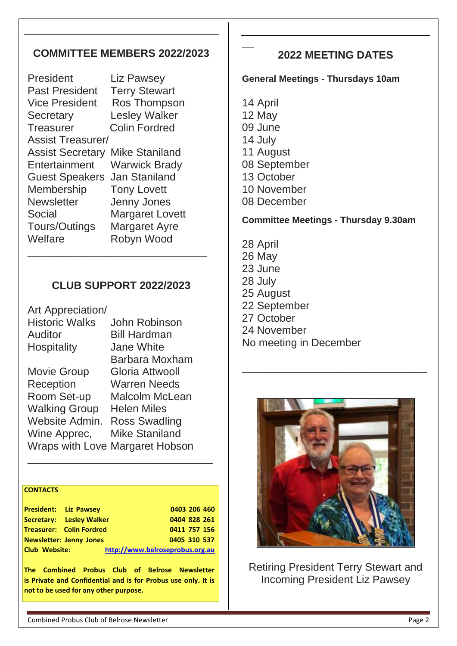# **COMMITTEE MEMBERS 2022/2023**

President Liz Pawsey Past President Terry Stewart Vice President Ros Thompson Secretary Lesley Walker Treasurer Colin Fordred Assist Treasurer/ Assist Secretary Mike Staniland Entertainment Warwick Brady Guest Speakers Jan Staniland Membership Tony Lovett Newsletter Jenny Jones Social Margaret Lovett Tours/Outings Margaret Ayre Welfare Robyn Wood \_\_\_\_\_\_\_\_\_\_\_\_\_\_\_\_\_\_\_\_\_\_\_\_\_\_\_\_\_\_

# **CLUB SUPPORT 2022/2023**

| John Robinson                   |
|---------------------------------|
| <b>Bill Hardman</b>             |
| <b>Jane White</b>               |
| Barbara Moxham                  |
| Gloria Attwooll                 |
| <b>Warren Needs</b>             |
| Malcolm McLean                  |
| <b>Helen Miles</b>              |
| <b>Ross Swadling</b>            |
| <b>Mike Staniland</b>           |
| Wraps with Love Margaret Hobson |
|                                 |

#### **CONTACTS**

| <b>President: Liz Pawsey</b> |                                 |                                 | 0403 206 460 |  |
|------------------------------|---------------------------------|---------------------------------|--------------|--|
|                              | <b>Secretary:</b> Lesley Walker |                                 | 0404 828 261 |  |
|                              | Treasurer: Colin Fordred        |                                 | 0411 757 156 |  |
|                              | <b>Newsletter: Jenny Jones</b>  |                                 | 0405 310 537 |  |
| <b>Club Website:</b>         |                                 | http://www.belroseprobus.org.au |              |  |

\_\_\_\_\_\_\_\_\_\_\_\_\_\_\_\_\_\_\_\_\_\_\_\_\_\_\_\_\_\_\_

**The Combined Probus Club of Belrose Newsletter is Private and Confidential and is for Probus use only. It is not to be used for any other purpose.**

# **2022 MEETING DATES**

#### **General Meetings - Thursdays 10am**

14 April 12 May 09 June 14 July 11 August 08 September 13 October 10 November 08 December

 $\overline{\phantom{a}}$ 

#### **Committee Meetings - Thursday 9.30am**

28 April 26 May 23 June 28 July 25 August 22 September 27 October 24 November No meeting in December



\_\_\_\_\_\_\_\_\_\_\_\_\_\_\_\_\_\_\_\_\_\_\_\_\_\_\_\_\_\_\_

Retiring President Terry Stewart and Incoming President Liz Pawsey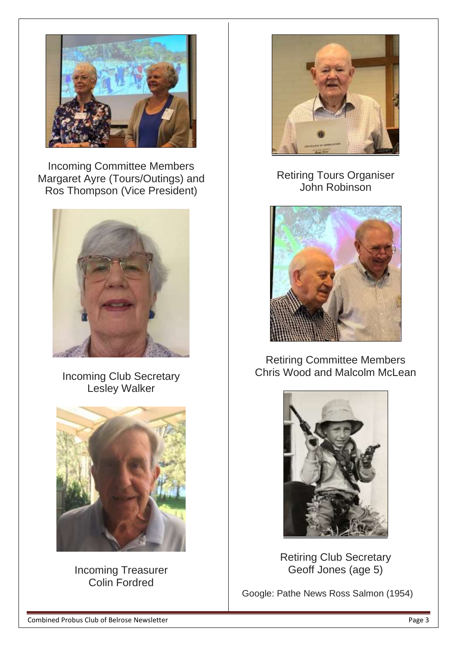

Incoming Committee Members Margaret Ayre (Tours/Outings) and Ros Thompson (Vice President)



Incoming Club Secretary Lesley Walker



Incoming Treasurer Colin Fordred



# Retiring Tours Organiser John Robinson



# Retiring Committee Members Chris Wood and Malcolm McLean



Retiring Club Secretary Geoff Jones (age 5)

Google: Pathe News Ross Salmon (1954)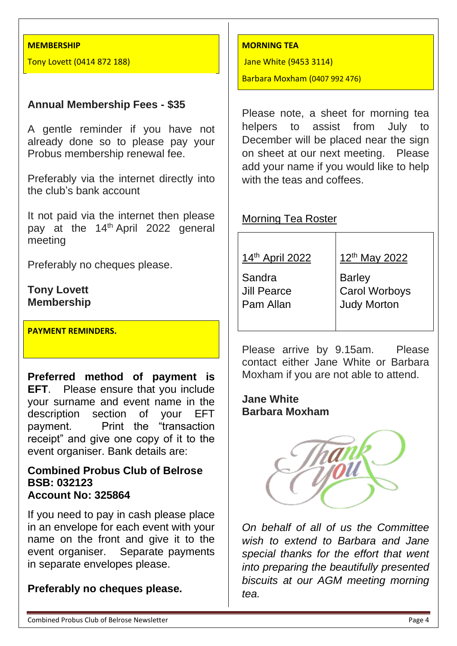#### **MEMBERSHIP**

Tony Lovett (0414 872 188)

#### **Annual Membership Fees - \$35**

A gentle reminder if you have not already done so to please pay your Probus membership renewal fee.

Preferably via the internet directly into the club's bank account

It not paid via the internet then please pay at the 14<sup>th</sup> April 2022 general meeting

Preferably no cheques please.

## **Tony Lovett Membership**

**PAYMENT REMINDERS.**

**Preferred method of payment is EFT**. Please ensure that you include your surname and event name in the description section of your EFT payment. Print the "transaction receipt" and give one copy of it to the event organiser. Bank details are:

#### **Combined Probus Club of Belrose BSB: 032123 Account No: 325864**

If you need to pay in cash please place in an envelope for each event with your name on the front and give it to the event organiser. Separate payments in separate envelopes please.

#### **Preferably no cheques please.**

#### **MORNING TEA**

Jane White (9453 3114)

Barbara Moxham (0407 992 476)

Please note, a sheet for morning tea helpers to assist from July to December will be placed near the sign on sheet at our next meeting. Please add your name if you would like to help with the teas and coffees.

#### Morning Tea Roster

| 14th April 2022                    | 12th May 2022                                 |
|------------------------------------|-----------------------------------------------|
| Sandra<br>Jill Pearce<br>Pam Allan | Barley<br>Carol Worboys<br><b>Judy Morton</b> |

Please arrive by 9.15am. Please contact either Jane White or Barbara Moxham if you are not able to attend.

#### **Jane White Barbara Moxham**



*On behalf of all of us the Committee wish to extend to Barbara and Jane special thanks for the effort that went into preparing the beautifully presented biscuits at our AGM meeting morning tea.*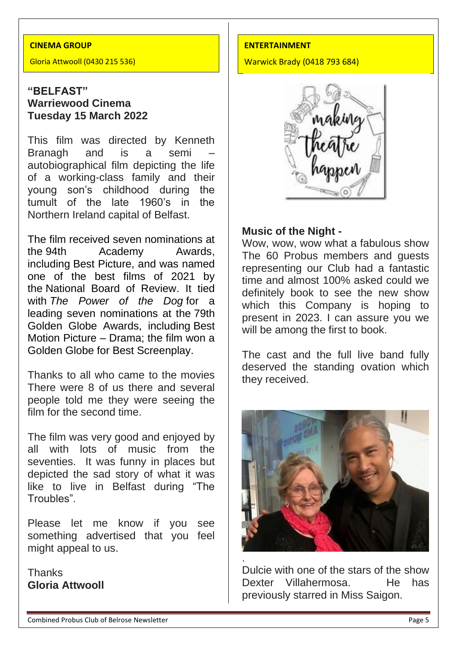#### **CINEMA GROUP**

Gloria Attwooll (0430 215 536)

## **"BELFAST" Warriewood Cinema Tuesday 15 March 2022**

This film was directed by Kenneth Branagh and is a semi autobiographical film depicting the life of a working-class family and their young son's childhood during the tumult of the late 1960's in the Northern Ireland capital of Belfast.

The film received seven nominations at the [94th Academy Awards,](https://en.wikipedia.org/wiki/94th_Academy_Awards) including [Best Picture,](https://en.wikipedia.org/wiki/Academy_Award_for_Best_Picture) and was named one of the best films of 2021 by the [National Board of Review.](https://en.wikipedia.org/wiki/National_Board_of_Review) It tied with *[The Power of the Dog](https://en.wikipedia.org/wiki/The_Power_of_the_Dog_(film))* for a leading seven nominations at the [79th](https://en.wikipedia.org/wiki/79th_Golden_Globe_Awards)  [Golden Globe Awards,](https://en.wikipedia.org/wiki/79th_Golden_Globe_Awards) including [Best](https://en.wikipedia.org/wiki/Golden_Globe_Award_for_Best_Motion_Picture_%E2%80%93_Drama)  [Motion Picture –](https://en.wikipedia.org/wiki/Golden_Globe_Award_for_Best_Motion_Picture_%E2%80%93_Drama) Drama; the film won a Golden Globe for [Best Screenplay.](https://en.wikipedia.org/wiki/Golden_Globe_Award_for_Best_Screenplay)

Thanks to all who came to the movies There were 8 of us there and several people told me they were seeing the film for the second time.

The film was very good and enjoyed by all with lots of music from the seventies. It was funny in places but depicted the sad story of what it was like to live in Belfast during "The Troubles".

Please let me know if you see something advertised that you feel might appeal to us.

**Thanks Gloria Attwooll**

#### **ENTERTAINMENT**

Warwick Brady (0418 793 684)



#### **Music of the Night -**

Wow, wow, wow what a fabulous show The 60 Probus members and guests representing our Club had a fantastic time and almost 100% asked could we definitely book to see the new show which this Company is hoping to present in 2023. I can assure you we will be among the first to book.

The cast and the full live band fully deserved the standing ovation which they received.



Dulcie with one of the stars of the show Dexter Villahermosa. He has previously starred in Miss Saigon.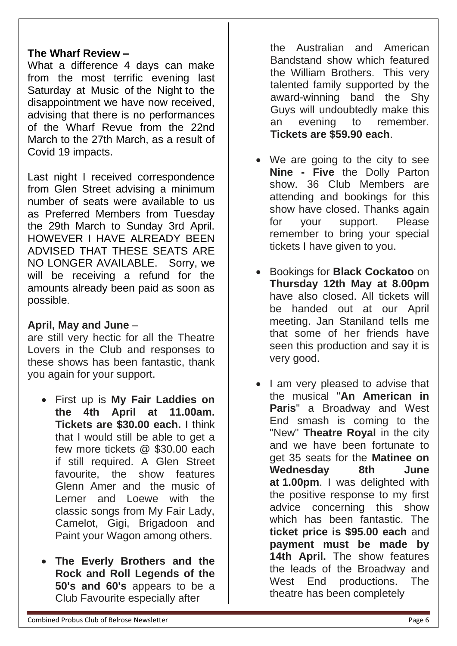## **The Wharf Review –**

What a difference 4 days can make from the most terrific evening last Saturday at Music of the Night to the disappointment we have now received, advising that there is no performances of the Wharf Revue from the 22nd March to the 27th March, as a result of Covid 19 impacts.

Last night I received correspondence from Glen Street advising a minimum number of seats were available to us as Preferred Members from Tuesday the 29th March to Sunday 3rd April. HOWEVER I HAVE ALREADY BEEN ADVISED THAT THESE SEATS ARE NO LONGER AVAILABLE. Sorry, we will be receiving a refund for the amounts already been paid as soon as possible.

# **April, May and June** –

are still very hectic for all the Theatre Lovers in the Club and responses to these shows has been fantastic, thank you again for your support.

- First up is **My Fair Laddies on the 4th April at 11.00am. Tickets are \$30.00 each.** I think that I would still be able to get a few more tickets @ \$30.00 each if still required. A Glen Street favourite, the show features Glenn Amer and the music of Lerner and Loewe with the classic songs from My Fair Lady, Camelot, Gigi, Brigadoon and Paint your Wagon among others.
- **The Everly Brothers and the Rock and Roll Legends of the 50's and 60's** appears to be a Club Favourite especially after

the Australian and American Bandstand show which featured the William Brothers. This very talented family supported by the award-winning band the Shy Guys will undoubtedly make this an evening to remember. **Tickets are \$59.90 each**.

- We are going to the city to see **Nine - Five** the Dolly Parton show. 36 Club Members are attending and bookings for this show have closed. Thanks again for your support. Please remember to bring your special tickets I have given to you.
- Bookings for **Black Cockatoo** on **Thursday 12th May at 8.00pm** have also closed. All tickets will be handed out at our April meeting. Jan Staniland tells me that some of her friends have seen this production and say it is very good.
- I am very pleased to advise that the musical "**An American in Paris**" a Broadway and West End smash is coming to the "New" **Theatre Royal** in the city and we have been fortunate to get 35 seats for the **Matinee on Wednesday 8th June at 1.00pm**. I was delighted with the positive response to my first advice concerning this show which has been fantastic. The **ticket price is \$95.00 each** and **payment must be made by 14th April.** The show features the leads of the Broadway and West End productions. The theatre has been completely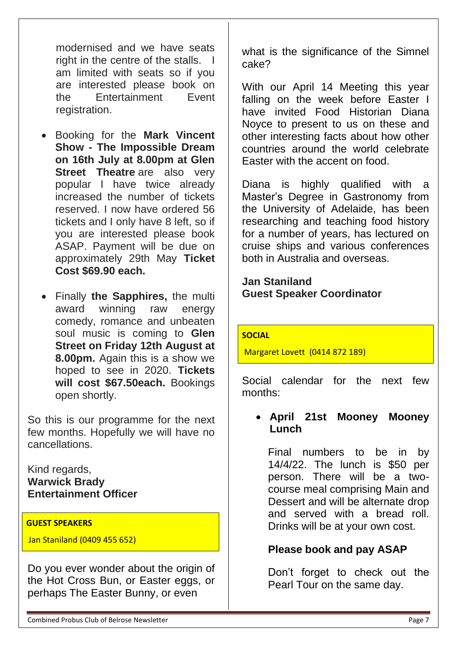modernised and we have seats right in the centre of the stalls. I am limited with seats so if you are interested please book on the Entertainment Event registration.

- Booking for the **Mark Vincent Show - The Impossible Dream on 16th July at 8.00pm at Glen Street Theatre** are also very popular I have twice already increased the number of tickets reserved. I now have ordered 56 tickets and I only have 8 left, so if you are interested please book ASAP. Payment will be due on approximately 29th May **Ticket Cost \$69.90 each.**
- Finally **the Sapphires,** the multi award winning raw energy comedy, romance and unbeaten soul music is coming to **Glen Street on Friday 12th August at 8.00pm.** Again this is a show we hoped to see in 2020. **Tickets will cost \$67.50each.** Bookings open shortly.

So this is our programme for the next few months. Hopefully we will have no cancellations.

Kind regards, **Warwick Brady Entertainment Officer**

#### **GUEST SPEAKERS**

Jan Staniland (0409 455 652)

Do you ever wonder about the origin of the Hot Cross Bun, or Easter eggs, or perhaps The Easter Bunny, or even

what is the significance of the Simnel cake?

With our April 14 Meeting this year falling on the week before Easter I have invited Food Historian Diana Noyce to present to us on these and other interesting facts about how other countries around the world celebrate Easter with the accent on food.

Diana is highly qualified with a Master's Degree in Gastronomy from the University of Adelaide, has been researching and teaching food history for a number of years, has lectured on cruise ships and various conferences both in Australia and overseas.

### **Jan Staniland Guest Speaker Coordinator**

#### **SOCIAL**

Margaret Lovett (0414 872 189)

Social calendar for the next few months:

## • **April 21st Mooney Mooney Lunch**

Final numbers to be in by 14/4/22. The lunch is \$50 per person. There will be a twocourse meal comprising Main and Dessert and will be alternate drop and served with a bread roll. Drinks will be at your own cost.

# **Please book and pay ASAP**

Don't forget to check out the Pearl Tour on the same day.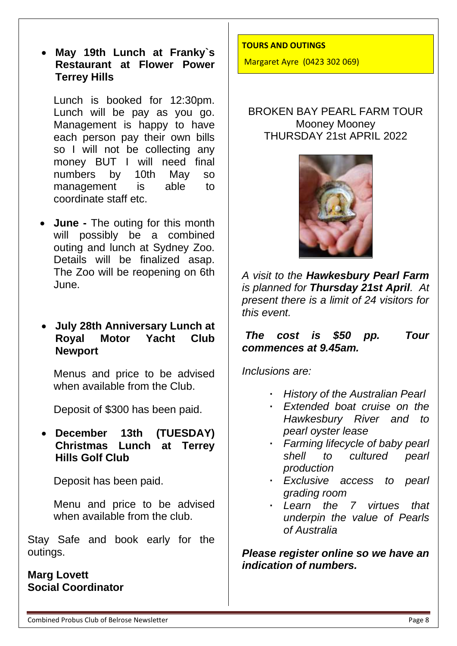• **May 19th Lunch at Franky`s Restaurant at Flower Power Terrey Hills**

Lunch is booked for 12:30pm. Lunch will be pay as you go. Management is happy to have each person pay their own bills so I will not be collecting any money BUT I will need final numbers by 10th May so management is able to coordinate staff etc.

**June** - The outing for this month will possibly be a combined outing and lunch at Sydney Zoo. Details will be finalized asap. The Zoo will be reopening on 6th June.

## • **July 28th Anniversary Lunch at Royal Motor Yacht Club Newport**

Menus and price to be advised when available from the Club.

Deposit of \$300 has been paid.

• **December 13th (TUESDAY) Christmas Lunch at Terrey Hills Golf Club**

Deposit has been paid.

Menu and price to be advised when available from the club.

Stay Safe and book early for the outings.

**Marg Lovett Social Coordinator**

#### **TOURS AND OUTINGS**

Margaret Ayre (0423 302 069)

## BROKEN BAY PEARL FARM TOUR Mooney Mooney THURSDAY 21st APRIL 2022



*A visit to the Hawkesbury Pearl Farm is planned for Thursday 21st April. At present there is a limit of 24 visitors for this event.*

#### *The cost is \$50 pp. Tour commences at 9.45am.*

*Inclusions are:*

- **·** *History of the Australian Pearl*
- **·** *Extended boat cruise on the Hawkesbury River and to pearl oyster lease*
- **·** *Farming lifecycle of baby pearl shell to cultured pearl production*
- **·** *Exclusive access to pearl grading room*
- **·** *Learn the 7 virtues that underpin the value of Pearls of Australia*

*Please register online so we have an indication of numbers.*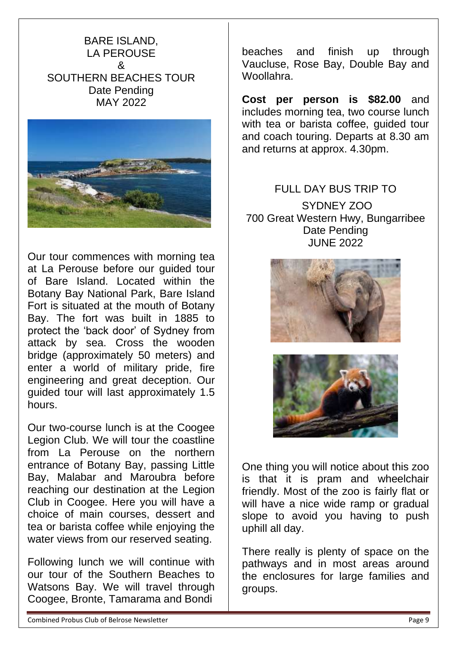## BARE ISLAND, LA PEROUSE & SOUTHERN BEACHES TOUR Date Pending MAY 2022



Our tour commences with morning tea at La Perouse before our guided tour of Bare Island. Located within the Botany Bay National Park, Bare Island Fort is situated at the mouth of Botany Bay. The fort was built in 1885 to protect the 'back door' of Sydney from attack by sea. Cross the wooden bridge (approximately 50 meters) and enter a world of military pride, fire engineering and great deception. Our guided tour will last approximately 1.5 hours.

Our two-course lunch is at the Coogee Legion Club. We will tour the coastline from La Perouse on the northern entrance of Botany Bay, passing Little Bay, Malabar and Maroubra before reaching our destination at the Legion Club in Coogee. Here you will have a choice of main courses, dessert and tea or barista coffee while enjoying the water views from our reserved seating.

Following lunch we will continue with our tour of the Southern Beaches to Watsons Bay. We will travel through Coogee, Bronte, Tamarama and Bondi

beaches and finish up through Vaucluse, Rose Bay, Double Bay and Woollahra.

**Cost per person is \$82.00** and includes morning tea, two course lunch with tea or barista coffee, guided tour and coach touring. Departs at 8.30 am and returns at approx. 4.30pm.

# FULL DAY BUS TRIP TO SYDNEY ZOO 700 Great Western Hwy, Bungarribee Date Pending JUNE 2022





One thing you will notice about this zoo is that it is pram and wheelchair friendly. Most of the zoo is fairly flat or will have a nice wide ramp or gradual slope to avoid you having to push uphill all day.

There really is plenty of space on the pathways and in most areas around the enclosures for large families and groups.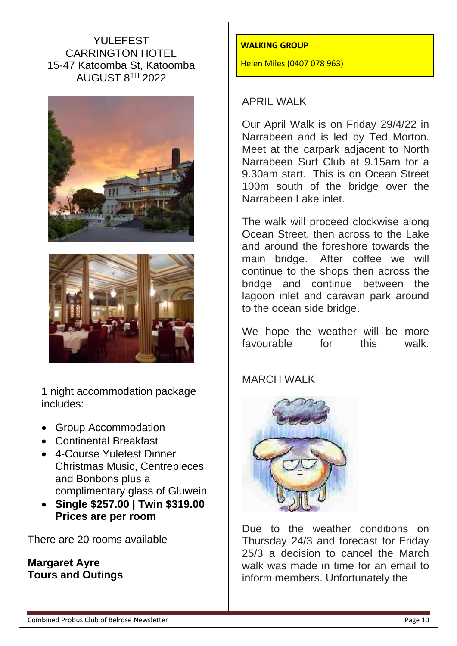# YULEFEST CARRINGTON HOTEL 15-47 Katoomba St, Katoomba AUGUST 8TH 2022





1 night accommodation package includes:

- Group Accommodation
- Continental Breakfast
- 4-Course Yulefest Dinner Christmas Music, Centrepieces and Bonbons plus a complimentary glass of Gluwein
- **Single \$257.00 | Twin \$319.00 Prices are per room**

There are 20 rooms available

# **Margaret Ayre Tours and Outings**

#### **WALKING GROUP**

Helen Miles (0407 078 963)

#### APRIL WALK

Our April Walk is on Friday 29/4/22 in Narrabeen and is led by Ted Morton. Meet at the carpark adjacent to North Narrabeen Surf Club at 9.15am for a 9.30am start. This is on Ocean Street 100m south of the bridge over the Narrabeen Lake inlet.

The walk will proceed clockwise along Ocean Street, then across to the Lake and around the foreshore towards the main bridge. After coffee we will continue to the shops then across the bridge and continue between the lagoon inlet and caravan park around to the ocean side bridge.

We hope the weather will be more favourable for this walk.

MARCH WALK



Due to the weather conditions on Thursday 24/3 and forecast for Friday 25/3 a decision to cancel the March walk was made in time for an email to inform members. Unfortunately the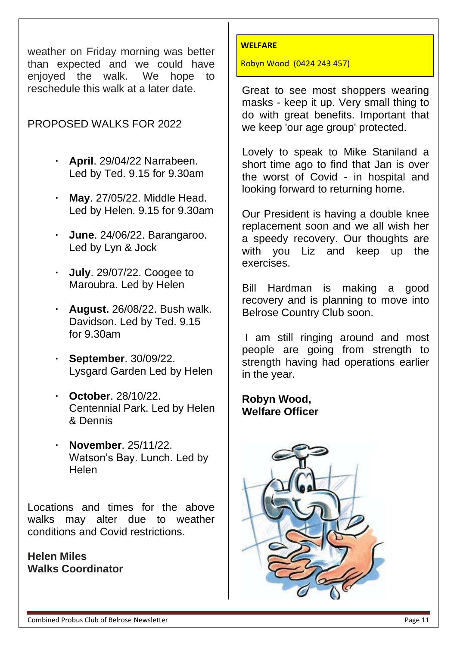weather on Friday morning was better than expected and we could have enjoyed the walk. We hope to reschedule this walk at a later date.

# PROPOSED WALKS FOR 2022

- **· April**. 29/04/22 Narrabeen. Led by Ted. 9.15 for 9.30am
- **· May**. 27/05/22. Middle Head. Led by Helen. 9.15 for 9.30am
- **· June**. 24/06/22. Barangaroo. Led by Lyn & Jock
- **· July**. 29/07/22. Coogee to Maroubra. Led by Helen
- **· August.** 26/08/22. Bush walk. Davidson. Led by Ted. 9.15 for 9.30am
- **· September**. 30/09/22. Lysgard Garden Led by Helen
- **· October**. 28/10/22. Centennial Park. Led by Helen & Dennis
- **· November**. 25/11/22. Watson's Bay. Lunch. Led by Helen

Locations and times for the above walks may alter due to weather conditions and Covid restrictions.

**Helen Miles Walks Coordinator**

#### **WELFARE**

Robyn Wood (0424 243 457)

Great to see most shoppers wearing masks - keep it up. Very small thing to do with great benefits. Important that we keep 'our age group' protected.

Lovely to speak to Mike Staniland a short time ago to find that Jan is over the worst of Covid - in hospital and looking forward to returning home.

Our President is having a double knee replacement soon and we all wish her a speedy recovery. Our thoughts are with you Liz and keep up the exercises.

Bill Hardman is making a good recovery and is planning to move into Belrose Country Club soon.

I am still ringing around and most people are going from strength to strength having had operations earlier in the year.

# **Robyn Wood, Welfare Officer**

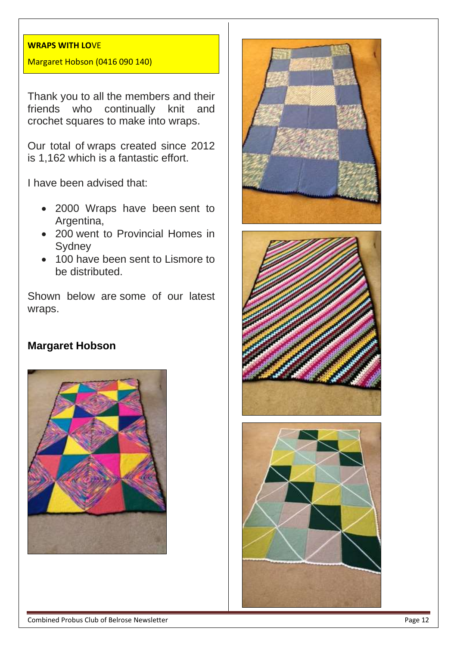#### **WRAPS WITH LO**VE

#### Margaret Hobson (0416 090 140)

Thank you to all the members and their friends who continually knit and crochet squares to make into wraps.

Our total of wraps created since 2012 is 1,162 which is a fantastic effort.

I have been advised that:

- 2000 Wraps have been sent to Argentina,
- 200 went to Provincial Homes in Sydney
- 100 have been sent to Lismore to be distributed.

Shown below are some of our latest wraps.

#### **Margaret Hobson**